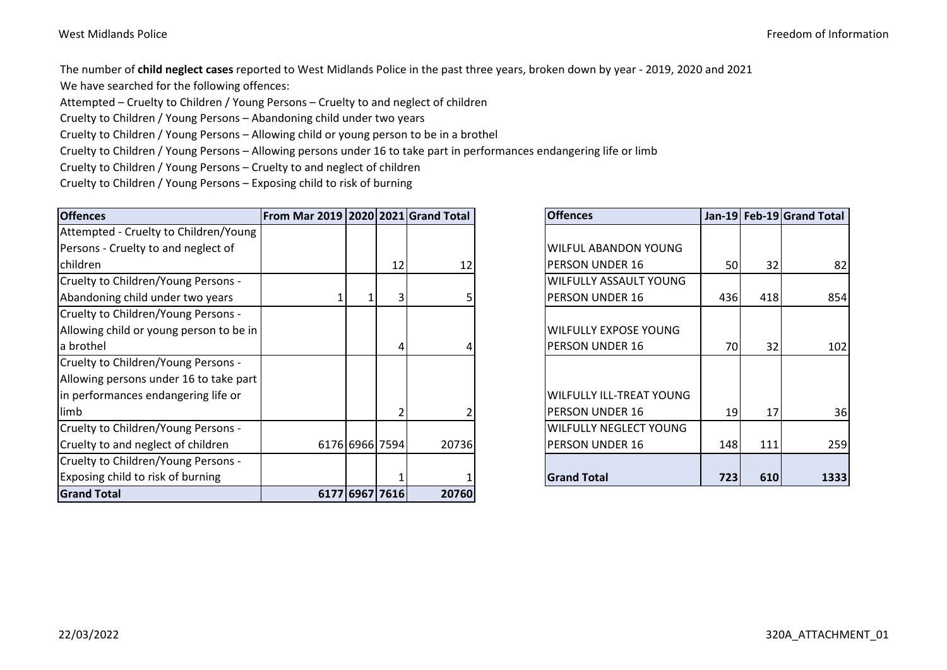The number of **child neglect cases** reported to West Midlands Police in the past three years, broken down by year - 2019, 2020 and 2021 We have searched for the following offences:

Attempted – Cruelty to Children / Young Persons – Cruelty to and neglect of children

Cruelty to Children / Young Persons – Abandoning child under two years

Cruelty to Children / Young Persons – Allowing child or young person to be in a brothel

Cruelty to Children / Young Persons – Allowing persons under 16 to take part in performances endangering life or limb

Cruelty to Children / Young Persons – Cruelty to and neglect of children

Cruelty to Children / Young Persons – Exposing child to risk of burning

| <b>Offences</b>                         | From Mar 2019   2020   2021 Grand Total |                |    |       | <b>Offences</b>               |           |     | Jan-19 Feb-19 Grand Total |
|-----------------------------------------|-----------------------------------------|----------------|----|-------|-------------------------------|-----------|-----|---------------------------|
| Attempted - Cruelty to Children/Young   |                                         |                |    |       |                               |           |     |                           |
| Persons - Cruelty to and neglect of     |                                         |                |    |       | WILFUL ABANDON YOUNG          |           |     |                           |
| children                                |                                         |                | 12 | 12    | IPERSON UNDER 16              | <b>50</b> | 32  | 82                        |
| Cruelty to Children/Young Persons -     |                                         |                |    |       | WILFULLY ASSAULT YOUNG        |           |     |                           |
| Abandoning child under two years        |                                         |                |    |       | PERSON UNDER 16               | 436       | 418 | 854                       |
| Cruelty to Children/Young Persons -     |                                         |                |    |       |                               |           |     |                           |
| Allowing child or young person to be in |                                         |                |    |       | <b>WILFULLY EXPOSE YOUNG</b>  |           |     |                           |
| a brothel                               |                                         |                |    |       | PERSON UNDER 16               | 70        | 32  | 102                       |
| Cruelty to Children/Young Persons -     |                                         |                |    |       |                               |           |     |                           |
| Allowing persons under 16 to take part  |                                         |                |    |       |                               |           |     |                           |
| in performances endangering life or     |                                         |                |    |       | WILFULLY ILL-TREAT YOUNG      |           |     |                           |
| limb                                    |                                         |                |    |       | <b>PERSON UNDER 16</b>        | 19        | 17  | 36                        |
| Cruelty to Children/Young Persons -     |                                         |                |    |       | <b>WILFULLY NEGLECT YOUNG</b> |           |     |                           |
| Cruelty to and neglect of children      |                                         | 6176 6966 7594 |    | 20736 | <b>PERSON UNDER 16</b>        | 148       | 111 | 259                       |
| Cruelty to Children/Young Persons -     |                                         |                |    |       |                               |           |     |                           |
| Exposing child to risk of burning       |                                         |                |    |       | <b>Grand Total</b>            | 7231      | 610 | 1333                      |
| <b>Grand Total</b>                      |                                         | 6177 6967 7616 |    | 20760 |                               |           |     |                           |

| <b>Offences</b>                 |     |     | Jan-19 Feb-19 Grand Total |
|---------------------------------|-----|-----|---------------------------|
|                                 |     |     |                           |
| <b>WILFUL ABANDON YOUNG</b>     |     |     |                           |
| <b>PERSON UNDER 16</b>          | 50  | 32  | 82                        |
| WILFULLY ASSAULT YOUNG          |     |     |                           |
| <b>PERSON UNDER 16</b>          | 436 | 418 | 854                       |
|                                 |     |     |                           |
| WILFULLY EXPOSE YOUNG           |     |     |                           |
| PERSON UNDER 16                 | 70  | 32  | 102                       |
|                                 |     |     |                           |
|                                 |     |     |                           |
| <b>WILFULLY ILL-TREAT YOUNG</b> |     |     |                           |
| <b>PERSON UNDER 16</b>          | 19  | 17  | 36                        |
| WILFULLY NEGLECT YOUNG          |     |     |                           |
| <b>PERSON UNDER 16</b>          | 148 | 111 | 259                       |
|                                 |     |     |                           |
| <b>Grand Total</b>              | 723 | 610 | 1333                      |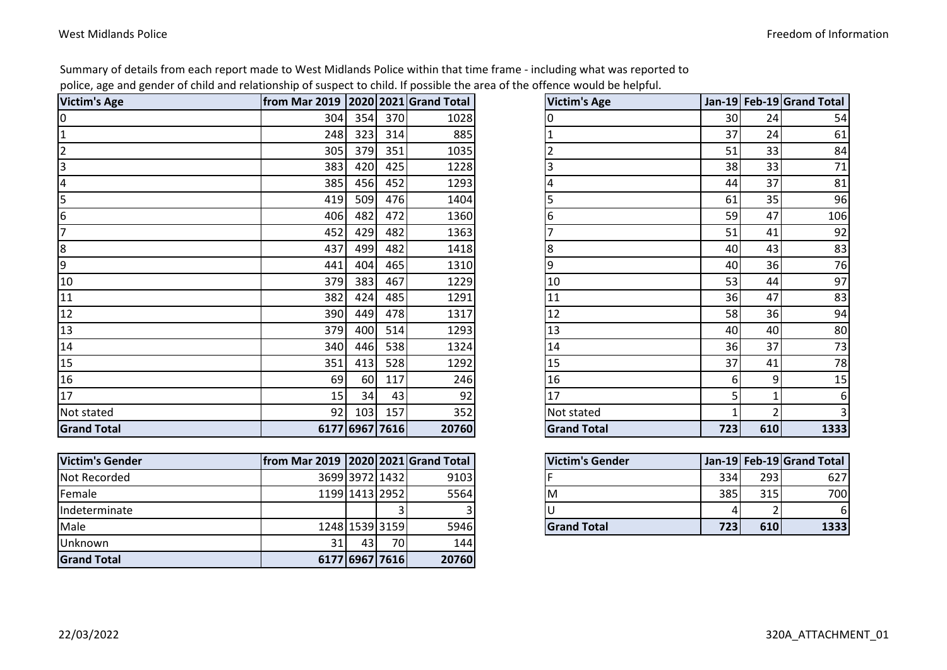Summary of details from each report made to West Midlands Police within that time frame - including what was reported to

police, age and gender of child and relationship of suspect to child. If possible the area of the offence would be helpful.

| <b>Victim's Age</b> | from Mar 2019 |                |     | 2020 2021 Grand Total | <b>Victim's Age</b> |     |                | Jan-19 Feb-19 Grand Total |
|---------------------|---------------|----------------|-----|-----------------------|---------------------|-----|----------------|---------------------------|
| $\overline{10}$     | 304           | 354            | 370 | 1028                  |                     | 30  | 24             | 54                        |
| $\vert$ 1           | 248           | 323            | 314 | 885                   |                     | 37  | 24             | 61                        |
| $\overline{2}$      | 305           | 379            | 351 | 1035                  |                     | 51  | 33             | 84                        |
| 3                   | 383           | 420            | 425 | 1228                  |                     | 38  | 33             | 71                        |
| 4                   | 385           | 456            | 452 | 1293                  |                     | 44  | 37             | 81                        |
| 5                   | 419           | 509            | 476 | 1404                  |                     | 61  | 35             | 96                        |
| 6                   | 406           | 482            | 472 | 1360                  | n                   | 59  | 47             | 106                       |
| 17                  | 452           | 429            | 482 | 1363                  |                     | 51  | 41             | 92                        |
| 8                   | 437           | 499            | 482 | 1418                  | Ιŏ                  | 40  | 43             | 83                        |
| 9                   | 441           | 404            | 465 | 1310                  |                     | 40  | 36             | 76                        |
| 10                  | 379           | 383            | 467 | 1229                  | 10                  | 53  | 44             | 97                        |
| 11                  | 382           | 424            | 485 | 1291                  | 11                  | 36  | 47             | 83                        |
| 12                  | 390           | 449            | 478 | 1317                  | 12                  | 58  | 36             | 94                        |
| 13                  | 379           | 400            | 514 | 1293                  | 13                  | 40  | 40             | 80                        |
| 14                  | 340           | 446            | 538 | 1324                  | 14                  | 36  | 37             | 73                        |
| 15                  | 351           | 413            | 528 | 1292                  | 15                  | 37  | 41             | 78                        |
| 16                  | 69            | 60             | 117 | 246                   | 16                  | 6   | 9              | 15                        |
| 17                  | 15            | 34             | 43  | 92                    | 17                  |     |                | 6                         |
| Not stated          | 92            | 103            | 157 | 352                   | Not stated          |     | $\overline{2}$ | 3                         |
| <b>Grand Total</b>  |               | 6177 6967 7616 |     | 20760                 | <b>Grand Total</b>  | 723 | 610            | 1333                      |

| Victim's Gender      | from Mar 2019   2020   2021   Grand Total |                |      |       | Victim's Gender    |     |     | Jan-19 Feb-19 Grand Total |
|----------------------|-------------------------------------------|----------------|------|-------|--------------------|-----|-----|---------------------------|
| <b>INot Recorded</b> |                                           | 3699 3972 1432 |      | 9103  |                    | 334 | 293 | 627                       |
| Female               |                                           | 1199 1413 2952 |      | 5564  | ιM                 | 385 | 315 | 700                       |
| Indeterminate        |                                           |                |      |       |                    |     |     |                           |
| Male                 |                                           | 1248 1539 3159 |      | 5946  | <b>Grand Total</b> | 723 | 610 | 1333                      |
| <b>IUnknown</b>      | 31                                        | 43             | 70 l | 144   |                    |     |     |                           |
| <b>Grand Total</b>   |                                           | 6177 6967 7616 |      | 20760 |                    |     |     |                           |

| <b>Victim's Age</b>     | <b>Jan-19</b> |                | Feb-19 Grand Total |
|-------------------------|---------------|----------------|--------------------|
| 0                       | 30            | 24             | 54                 |
| $\mathbf{1}$            | 37            | 24             | 61                 |
| $\overline{\mathbf{c}}$ | 51            | 33             | 84                 |
| 3                       | 38            | 33             | 71                 |
| 4                       | 44            | 37             | 81                 |
| 5                       | 61            | 35             | 96                 |
| 6                       | 59            | 47             | 106                |
| 7                       | 51            | 41             | 92                 |
| 8                       | 40            | 43             | 83                 |
| 9                       | 40            | 36             | 76                 |
| 10                      | 53            | 44             | 97                 |
| 11                      | 36            | 47             | 83                 |
| 12                      | 58            | 36             | 94                 |
| 13                      | 40            | 40             | 80                 |
| 14                      | 36            | 37             | 73                 |
| 15                      | 37            | 41             | 78                 |
| 16                      | 6             | 9              | 15                 |
| 17                      | 5             | $\overline{1}$ | 6                  |
| Not stated              | 1             | $\overline{2}$ | 3                  |
| <b>Grand Total</b>      | 723           | 610            | 1333               |

| <b>Victim's Gender</b> |     |     | Jan-19 Feb-19 Grand Total |
|------------------------|-----|-----|---------------------------|
|                        | 334 | 293 |                           |
| M                      | 385 | 315 | 700.                      |
|                        |     |     |                           |
| <b>Grand Total</b>     | 723 | 610 | 13331                     |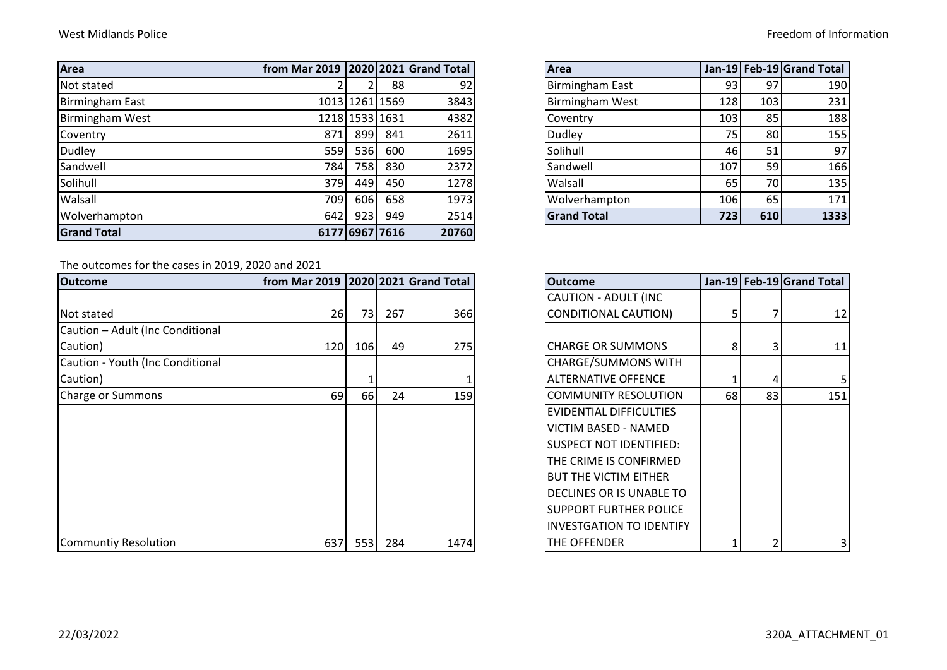| Area               | from Mar 2019   2020  2021   Grand Total |      |                |       | <b>Area</b>            |            | Jan-19 Feb-19 Grand Total |  |
|--------------------|------------------------------------------|------|----------------|-------|------------------------|------------|---------------------------|--|
| Not stated         |                                          |      | 88             | 92    | <b>Birmingham East</b> | 93         | 97                        |  |
| Birmingham East    |                                          |      | 1013 1261 1569 | 3843  | <b>Birmingham West</b> | 128        | 103                       |  |
| Birmingham West    |                                          |      | 1218 1533 1631 | 4382  | Coventry               | 103        | 85                        |  |
| Coventry           | 871                                      | 899  | 841            | 2611  | <b>Dudley</b>          | 75         | 80                        |  |
| Dudley             | 559                                      | 536  | 600            | 1695  | Solihull               | 46         | 51                        |  |
| Sandwell           | 784                                      | 758l | 830            | 2372  | Sandwell               | 107        | 59                        |  |
| Solihull           | 379                                      | 449  | 450            | 1278  | Walsall                | 65         | 70                        |  |
| Walsall            | 709                                      | 606  | 658            | 1973  | Wolverhampton          | <b>106</b> | 65                        |  |
| Wolverhampton      | 642                                      | 923  | 949            | 2514  | <b>Grand Total</b>     | 723        | 610                       |  |
| <b>Grand Total</b> |                                          |      | 6177 6967 7616 | 20760 |                        |            |                           |  |

## The outcomes for the cases in 2019, 2020 and 2021

| <b>Outcome</b>                   | from Mar 2019   2020   2021 Grand Total |     |     |      | <b>Outcome</b>                  |    |                | Jan-19 Feb-19 Grand Total |
|----------------------------------|-----------------------------------------|-----|-----|------|---------------------------------|----|----------------|---------------------------|
|                                  |                                         |     |     |      | CAUTION - ADULT (INC            |    |                |                           |
| Not stated                       | 26                                      | 73  | 267 | 366  | CONDITIONAL CAUTION)            |    |                | 12                        |
| Caution - Adult (Inc Conditional |                                         |     |     |      |                                 |    |                |                           |
| Caution)                         | 120                                     | 106 | 49  | 275  | <b>CHARGE OR SUMMONS</b>        | 81 | 31             | 11                        |
| Caution - Youth (Inc Conditional |                                         |     |     |      | <b>CHARGE/SUMMONS WITH</b>      |    |                |                           |
| Caution)                         |                                         |     |     |      | <b>ALTERNATIVE OFFENCE</b>      |    | 4              | 5                         |
| Charge or Summons                | 69                                      | 66  | 24  | 159  | COMMUNITY RESOLUTION            | 68 | 83             | 151                       |
|                                  |                                         |     |     |      | EVIDENTIAL DIFFICULTIES         |    |                |                           |
|                                  |                                         |     |     |      | VICTIM BASED - NAMED            |    |                |                           |
|                                  |                                         |     |     |      | <b>SUSPECT NOT IDENTIFIED:</b>  |    |                |                           |
|                                  |                                         |     |     |      | THE CRIME IS CONFIRMED          |    |                |                           |
|                                  |                                         |     |     |      | <b>BUT THE VICTIM EITHER</b>    |    |                |                           |
|                                  |                                         |     |     |      | DECLINES OR IS UNABLE TO        |    |                |                           |
|                                  |                                         |     |     |      | <b>SUPPORT FURTHER POLICE</b>   |    |                |                           |
|                                  |                                         |     |     |      | <b>INVESTGATION TO IDENTIFY</b> |    |                |                           |
| Communtiy Resolution             | 637                                     | 553 | 284 | 1474 | THE OFFENDER                    |    | $\overline{2}$ | 3                         |

| Area                   |     |     | Jan-19 Feb-19 Grand Total |
|------------------------|-----|-----|---------------------------|
| <b>Birmingham East</b> | 93  | 97  | 190                       |
| <b>Birmingham West</b> | 128 | 103 | 231                       |
| Coventry               | 103 | 85  | 188                       |
| Dudley                 | 75  | 80  | 155                       |
| Solihull               | 46  | 51  | 97                        |
| Sandwell               | 107 | 59  | 166                       |
| Walsall                | 65  | 70  | 135                       |
| Wolverhampton          | 106 | 65  | 171                       |
| <b>Grand Total</b>     | 723 | 610 | 1333                      |

| <b>Outcome</b>                  |    |    | Jan-19 Feb-19 Grand Total |
|---------------------------------|----|----|---------------------------|
| <b>CAUTION - ADULT (INC</b>     |    |    |                           |
| <b>CONDITIONAL CAUTION)</b>     | 5  | 7  | 12                        |
|                                 |    |    |                           |
| <b>CHARGE OR SUMMONS</b>        | 8  | 3  | 11                        |
| <b>CHARGE/SUMMONS WITH</b>      |    |    |                           |
| <b>ALTERNATIVE OFFENCE</b>      | 1  | 4  | 5                         |
| <b>COMMUNITY RESOLUTION</b>     | 68 | 83 | 151                       |
| EVIDENTIAL DIFFICULTIES         |    |    |                           |
| <b>VICTIM BASED - NAMED</b>     |    |    |                           |
| <b>SUSPECT NOT IDENTIFIED:</b>  |    |    |                           |
| THE CRIME IS CONFIRMED          |    |    |                           |
| <b>BUT THE VICTIM EITHER</b>    |    |    |                           |
| DECLINES OR IS UNABLE TO        |    |    |                           |
| <b>SUPPORT FURTHER POLICE</b>   |    |    |                           |
| <b>INVESTGATION TO IDENTIFY</b> |    |    |                           |
| THE OFFENDER                    | 1  | 2  | 3                         |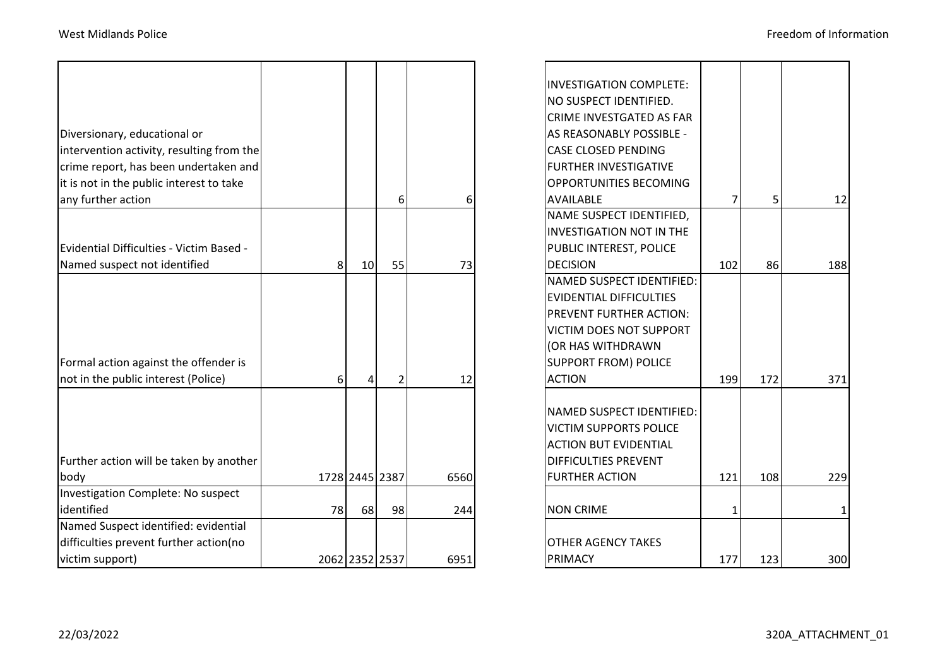| Diversionary, educational or<br>intervention activity, resulting from the<br>crime report, has been undertaken and<br>it is not in the public interest to take |    |                 |                |      | <b>INVESTIGATION COMPLETE:</b><br>NO SUSPECT IDENTIFIED.<br>CRIME INVESTGATED AS FAR<br>AS REASONABLY POSSIBLE -<br><b>CASE CLOSED PENDING</b><br><b>FURTHER INVESTIGATIVE</b><br>OPPORTUNITIES BECOMING |              |     |     |
|----------------------------------------------------------------------------------------------------------------------------------------------------------------|----|-----------------|----------------|------|----------------------------------------------------------------------------------------------------------------------------------------------------------------------------------------------------------|--------------|-----|-----|
| any further action                                                                                                                                             |    |                 | 6              | 6    | <b>AVAILABLE</b>                                                                                                                                                                                         | 7            | 5   | 12  |
| - Evidential Difficulties - Victim Based                                                                                                                       |    |                 |                |      | NAME SUSPECT IDENTIFIED,<br><b>INVESTIGATION NOT IN THE</b><br>PUBLIC INTEREST, POLICE                                                                                                                   |              |     |     |
| Named suspect not identified                                                                                                                                   | 8  | 10 <sup>1</sup> | 55             | 73   | <b>DECISION</b>                                                                                                                                                                                          | 102          | 86  | 188 |
| Formal action against the offender is<br>not in the public interest (Police)                                                                                   | 6  | Δ               | $\overline{2}$ | 12   | NAMED SUSPECT IDENTIFIED:<br><b>EVIDENTIAL DIFFICULTIES</b><br>PREVENT FURTHER ACTION:<br><b>VICTIM DOES NOT SUPPORT</b><br>(OR HAS WITHDRAWN<br><b>SUPPORT FROM) POLICE</b><br><b>ACTION</b>            | 199          | 172 | 371 |
| Further action will be taken by another<br>body                                                                                                                |    |                 | 1728 2445 2387 | 6560 | NAMED SUSPECT IDENTIFIED:<br><b>VICTIM SUPPORTS POLICE</b><br><b>ACTION BUT EVIDENTIAL</b><br><b>DIFFICULTIES PREVENT</b><br><b>FURTHER ACTION</b>                                                       | 121          | 108 | 229 |
| Investigation Complete: No suspect                                                                                                                             |    |                 |                |      |                                                                                                                                                                                                          |              |     |     |
| identified                                                                                                                                                     | 78 | 68              | 98             | 244  | <b>NON CRIME</b>                                                                                                                                                                                         | $\mathbf{1}$ |     | 1   |
| Named Suspect identified: evidential<br>difficulties prevent further action(no<br>victim support)                                                              |    |                 | 2062 2352 2537 | 6951 | <b>OTHER AGENCY TAKES</b><br>PRIMACY                                                                                                                                                                     | 177          | 123 | 300 |

| <b>INVESTIGATION COMPLETE:</b><br>NO SUSPECT IDENTIFIED. |     |     |     |
|----------------------------------------------------------|-----|-----|-----|
| CRIME INVESTGATED AS FAR                                 |     |     |     |
| <b>AS REASONABLY POSSIBLE -</b>                          |     |     |     |
| <b>CASE CLOSED PENDING</b>                               |     |     |     |
| <b>FURTHER INVESTIGATIVE</b>                             |     |     |     |
| <b>OPPORTUNITIES BECOMING</b>                            |     |     |     |
|                                                          |     |     |     |
| <b>AVAILABLE</b>                                         | 7   | 5   | 12  |
| NAME SUSPECT IDENTIFIED,                                 |     |     |     |
| <b>INVESTIGATION NOT IN THE</b>                          |     |     |     |
| PUBLIC INTEREST, POLICE                                  |     |     |     |
| <b>DECISION</b>                                          | 102 | 86  | 188 |
| <b>NAMED SUSPECT IDENTIFIED:</b>                         |     |     |     |
| <b>EVIDENTIAL DIFFICULTIES</b>                           |     |     |     |
| <b>PREVENT FURTHER ACTION:</b>                           |     |     |     |
| <b>VICTIM DOES NOT SUPPORT</b>                           |     |     |     |
| (OR HAS WITHDRAWN                                        |     |     |     |
| <b>SUPPORT FROM) POLICE</b>                              |     |     |     |
| <b>ACTION</b>                                            | 199 | 172 | 371 |
|                                                          |     |     |     |
| <b>NAMED SUSPECT IDENTIFIED:</b>                         |     |     |     |
| <b>VICTIM SUPPORTS POLICE</b>                            |     |     |     |
| <b>ACTION BUT EVIDENTIAL</b>                             |     |     |     |
| <b>DIFFICULTIES PREVENT</b>                              |     |     |     |
| <b>FURTHER ACTION</b>                                    | 121 | 108 | 229 |
| <b>NON CRIME</b>                                         |     |     |     |
|                                                          | 1   |     | 1   |
| <b>OTHER AGENCY TAKES</b>                                |     |     |     |
| PRIMACY                                                  | 177 | 123 | 300 |
|                                                          |     |     |     |